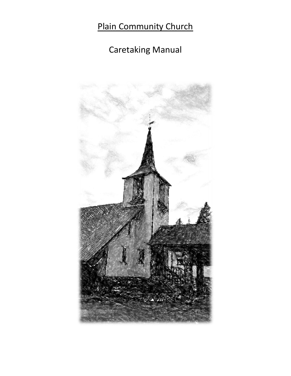# Plain Community Church

# Caretaking Manual

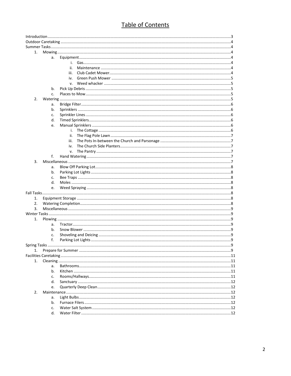# Table of Contents

| 1. |    |      |  |  |
|----|----|------|--|--|
|    | a. |      |  |  |
|    |    |      |  |  |
|    |    | ii.  |  |  |
|    |    | iii. |  |  |
|    |    | iv.  |  |  |
|    |    | v.   |  |  |
|    | b. |      |  |  |
|    | c. |      |  |  |
| 2. |    |      |  |  |
|    | a. |      |  |  |
|    | b. |      |  |  |
|    |    |      |  |  |
|    | c. |      |  |  |
|    | d. |      |  |  |
|    | e. |      |  |  |
|    |    | i.   |  |  |
|    |    | ii.  |  |  |
|    |    | iii. |  |  |
|    |    | iv.  |  |  |
|    |    | v.   |  |  |
|    | f. |      |  |  |
| 3. |    |      |  |  |
|    | a. |      |  |  |
|    | b. |      |  |  |
|    | c. |      |  |  |
|    | d. |      |  |  |
|    | e. |      |  |  |
|    |    |      |  |  |
| 1. |    |      |  |  |
| 2. |    |      |  |  |
| 3. |    |      |  |  |
|    |    |      |  |  |
| 1. |    |      |  |  |
|    | a. |      |  |  |
|    | b. |      |  |  |
|    | c. |      |  |  |
|    | f. |      |  |  |
|    |    |      |  |  |
| 1. |    |      |  |  |
|    |    |      |  |  |
| 1. |    |      |  |  |
|    | a. |      |  |  |
|    | b. |      |  |  |
|    |    |      |  |  |
|    | c. |      |  |  |
|    | d. |      |  |  |
|    | e. |      |  |  |
| 2. |    |      |  |  |
|    | a. |      |  |  |
|    | b. |      |  |  |
|    | c. |      |  |  |
|    | d. |      |  |  |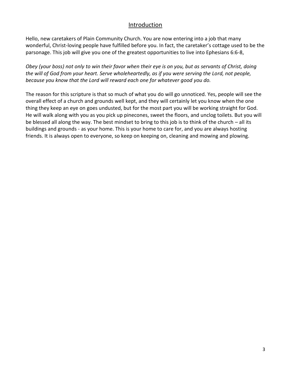## Introduction

Hello, new caretakers of Plain Community Church. You are now entering into a job that many wonderful, Christ-loving people have fulfilled before you. In fact, the caretaker's cottage used to be the parsonage. This job will give you one of the greatest opportunities to live into Ephesians 6:6-8,

*Obey (your boss) not only to win their favor when their eye is on you, but as servants of Christ, doing the will of God from your heart. Serve wholeheartedly, as if you were serving the Lord, not people, because you know that the Lord will reward each one for whatever good you do.*

The reason for this scripture is that so much of what you do will go unnoticed. Yes, people will see the overall effect of a church and grounds well kept, and they will certainly let you know when the one thing they keep an eye on goes undusted, but for the most part you will be working straight for God. He will walk along with you as you pick up pinecones, sweet the floors, and unclog toilets. But you will be blessed all along the way. The best mindset to bring to this job is to think of the church – all its buildings and grounds - as your home. This is your home to care for, and you are always hosting friends. It is always open to everyone, so keep on keeping on, cleaning and mowing and plowing.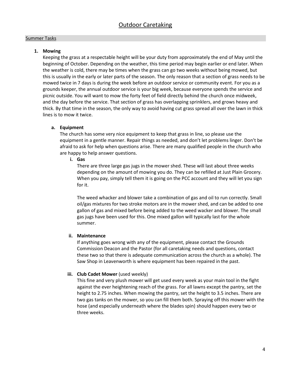#### Summer Tasks

## **1. Mowing**

Keeping the grass at a respectable height will be your duty from approximately the end of May until the beginning of October. Depending on the weather, this time period may begin earlier or end later. When the weather is cold, there may be times when the grass can go two weeks without being mowed, but this is usually in the early or later parts of the season. The only reason that a section of grass needs to be mowed twice in 7 days is during the week before an outdoor service or community event. For you as a grounds keeper, the annual outdoor service is your big week, because everyone spends the service and picnic outside. You will want to mow the forty feet of field directly behind the church once midweek, and the day before the service. That section of grass has overlapping sprinklers, and grows heavy and thick. By that time in the season, the only way to avoid having cut grass spread all over the lawn in thick lines is to mow it twice.

## **a. Equipment**

The church has some very nice equipment to keep that grass in line, so please use the equipment in a gentle manner. Repair things as needed, and don't let problems linger. Don't be afraid to ask for help when questions arise. There are many qualified people in the church who are happy to help answer questions.

## **i. Gas**

There are three large gas jugs in the mower shed. These will last about three weeks depending on the amount of mowing you do. They can be refilled at Just Plain Grocery. When you pay, simply tell them it is going on the PCC account and they will let you sign for it.

The weed whacker and blower take a combination of gas and oil to run correctly. Small oil/gas mixtures for two stroke motors are in the mower shed, and can be added to one gallon of gas and mixed before being added to the weed wacker and blower. The small gas jugs have been used for this. One mixed gallon will typically last for the whole summer.

## **ii. Maintenance**

If anything goes wrong with any of the equipment, please contact the Grounds Commission Deacon and the Pastor (for all caretaking needs and questions, contact these two so that there is adequate communication across the church as a whole). The Saw Shop in Leavenworth is where equipment has been repaired in the past.

## **iii. Club Cadet Mower** (used weekly)

This fine and very plush mower will get used every week as your main tool in the fight against the ever heightening reach of the grass. For all lawns except the pantry, set the height to 2.75 inches. When mowing the pantry, set the height to 3.5 inches. There are two gas tanks on the mower, so you can fill them both. Spraying off this mower with the hose (and especially underneath where the blades spin) should happen every two or three weeks.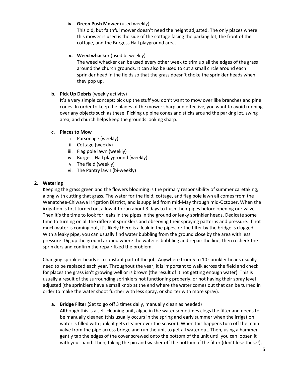**iv. Green Push Mower** (used weekly)

This old, but faithful mower doesn't need the height adjusted. The only places where this mower is used is the side of the cottage facing the parking lot, the front of the cottage, and the Burgess Hall playground area.

## **v. Weed whacker** (used bi-weekly)

The weed whacker can be used every other week to trim up all the edges of the grass around the church grounds. It can also be used to cut a small circle around each sprinkler head in the fields so that the grass doesn't choke the sprinkler heads when they pop up.

## **b. Pick Up Debris** (weekly activity)

It's a very simple concept: pick up the stuff you don't want to mow over like branches and pine cones. In order to keep the blades of the mower sharp and effective, you want to avoid running over any objects such as these. Picking up pine cones and sticks around the parking lot, swing area, and church helps keep the grounds looking sharp.

## **c. Places to Mow**

- i. Parsonage (weekly)
- ii. Cottage (weekly)
- iii. Flag pole lawn (weekly)
- iv. Burgess Hall playground (weekly)
- v. The field (weekly)
- vi. The Pantry lawn (bi-weekly)

## **2. Watering**

Keeping the grass green and the flowers blooming is the primary responsibility of summer caretaking, along with cutting that grass. The water for the field, cottage, and flag pole lawn all comes from the Wenatchee-Chiwawa Irrigation District, and is supplied from mid-May through mid-October. When the irrigation is first turned on, allow it to run about 3 days to flush their pipes before opening our valve. Then it's the time to look for leaks in the pipes in the ground or leaky sprinkler heads. Dedicate some time to turning on all the different sprinklers and observing their spraying patterns and pressure. If not much water is coming out, it's likely there is a leak in the pipes, or the filter by the bridge is clogged. With a leaky pipe, you can usually find water bubbling from the ground close by the area with less pressure. Dig up the ground around where the water is bubbling and repair the line, then recheck the sprinklers and confirm the repair fixed the problem.

Changing sprinkler heads is a constant part of the job. Anywhere from 5 to 10 sprinkler heads usually need to be replaced each year. Throughout the year, it is important to walk across the field and check for places the grass isn't growing well or is brown (the result of it not getting enough water). This is usually a result of the surrounding sprinklers not functioning properly, or not having their spray level adjusted (the sprinklers have a small knob at the end where the water comes out that can be turned in order to make the water shoot further with less spray, or shorter with more spray).

**a. Bridge Filter** (Set to go off 3 times daily, manually clean as needed)

Although this is a self-cleaning unit, algae in the water sometimes clogs the filter and needs to be manually cleaned (this usually occurs in the spring and early summer when the irrigation water is filled with junk, it gets cleaner over the season). When this happens turn off the main valve from the pipe across bridge and run the unit to get all water out. Then, using a hammer gently tap the edges of the cover screwed onto the bottom of the unit until you can loosen it with your hand. Then, taking the pin and washer off the bottom of the filter (don't lose these!),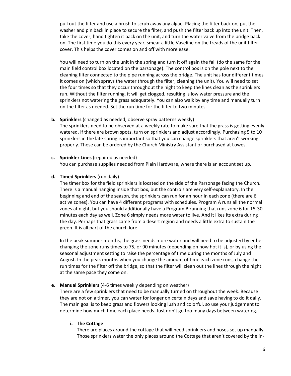pull out the filter and use a brush to scrub away any algae. Placing the filter back on, put the washer and pin back in place to secure the filter, and push the filter back up into the unit. Then, take the cover, hand tighten it back on the unit, and turn the water valve from the bridge back on. The first time you do this every year, smear a little Vaseline on the treads of the unit filter cover. This helps the cover comes on and off with more ease.

You will need to turn on the unit in the spring and turn it off again the fall (do the same for the main field control box located on the parsonage). The control box is on the pole next to the cleaning filter connected to the pipe running across the bridge. The unit has four different times it comes on (which sprays the water through the filter, cleaning the unit). You will need to set the four times so that they occur throughout the night to keep the lines clean as the sprinklers run. Without the filter running, it will get clogged, resulting is low water pressure and the sprinklers not watering the grass adequately. You can also walk by any time and manually turn on the filter as needed. Set the run time for the filter to two minutes.

#### **b. Sprinklers** (changed as needed, observe spray patterns weekly)

The sprinklers need to be observed at a weekly rate to make sure that the grass is getting evenly watered. If there are brown spots, turn on sprinklers and adjust accordingly. Purchasing 5 to 10 sprinklers in the late spring is important so that you can change sprinklers that aren't working properly. These can be ordered by the Church Ministry Assistant or purchased at Lowes.

#### **c. Sprinkler Lines** (repaired as needed)

You can purchase supplies needed from Plain Hardware, where there is an account set up.

#### **d. Timed Sprinklers** (run daily)

The timer box for the field sprinklers is located on the side of the Parsonage facing the Church. There is a manual hanging inside that box, but the controls are very self-explanatory. In the beginning and end of the season, the sprinklers can run for an hour in each zone (there are 6 active zones). You can have 4 different programs with schedules. Program A runs all the normal zones at night, but you should additionally have a Program B running that runs zone 6 for 15-30 minutes each day as well. Zone 6 simply needs more water to live. And it likes its extra during the day. Perhaps that grass came from a desert region and needs a little extra to sustain the green. It is all part of the church lore.

In the peak summer months, the grass needs more water and will need to be adjusted by either changing the zone runs times to 75, or 90 minutes (depending on how hot it is), or by using the seasonal adjustment setting to raise the percentage of time during the months of July and August. In the peak months when you change the amount of time each zone runs, change the run times for the filter off the bridge, so that the filter will clean out the lines through the night at the same pace they come on.

#### **e. Manual Sprinklers** (4-6 times weekly depending on weather)

There are a few sprinklers that need to be manually turned on throughout the week. Because they are not on a timer, you can water for longer on certain days and save having to do it daily. The main goal is to keep grass and flowers looking lush and colorful, so use your judgement to determine how much time each place needs. Just don't go too many days between watering.

#### **i. The Cottage**

There are places around the cottage that will need sprinklers and hoses set up manually. Those sprinklers water the only places around the Cottage that aren't covered by the in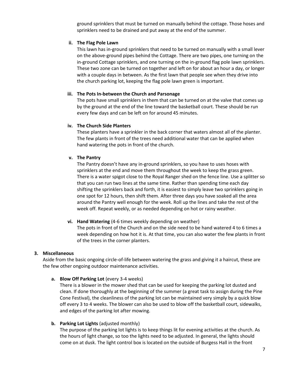ground sprinklers that must be turned on manually behind the cottage. Those hoses and sprinklers need to be drained and put away at the end of the summer.

#### **ii. The Flag Pole Lawn**

This lawn has in-ground sprinklers that need to be turned on manually with a small lever on the above-ground pipes behind the Cottage. There are two pipes, one turning on the in-ground Cottage sprinklers, and one turning on the in-ground flag pole lawn sprinklers. These two zone can be turned on together and left on for about an hour a day, or longer with a couple days in between. As the first lawn that people see when they drive into the church parking lot, keeping the flag pole lawn green is important.

#### **iii. The Pots In-between the Church and Parsonage**

The pots have small sprinklers in them that can be turned on at the valve that comes up by the ground at the end of the line toward the basketball court. These should be run every few days and can be left on for around 45 minutes.

## **iv. The Church Side Planters**

These planters have a sprinkler in the back corner that waters almost all of the planter. The few plants in front of the trees need additional water that can be applied when hand watering the pots in front of the church.

#### **v. The Pantry**

The Pantry doesn't have any in-ground sprinklers, so you have to uses hoses with sprinklers at the end and move them throughout the week to keep the grass green. There is a water spigot close to the Royal Ranger shed on the fence line. Use a splitter so that you can run two lines at the same time. Rather than spending time each day shifting the sprinklers back and forth, it is easiest to simply leave two sprinklers going in one spot for 12 hours, then shift them. After three days you have soaked all the area around the Pantry well enough for the week. Roll up the lines and take the rest of the week off. Repeat weekly, or as needed depending on hot or rainy weather.

#### **vi. Hand Watering** (4-6 times weekly depending on weather)

The pots in front of the Church and on the side need to be hand watered 4 to 6 times a week depending on how hot it is. At that time, you can also water the few plants in front of the trees in the corner planters.

#### **3. Miscellaneous**

Aside from the basic ongoing circle-of-life between watering the grass and giving it a haircut, these are the few other ongoing outdoor maintenance activities.

#### **a. Blow Off Parking Lot** (every 3-4 weeks)

There is a blower in the mower shed that can be used for keeping the parking lot dusted and clean. If done thoroughly at the beginning of the summer (a great task to assign during the Pine Cone Festival), the cleanliness of the parking lot can be maintained very simply by a quick blow off every 3 to 4 weeks. The blower can also be used to blow off the basketball court, sidewalks, and edges of the parking lot after mowing.

#### **b. Parking Lot Lights** (adjusted monthly)

The purpose of the parking lot lights is to keep things lit for evening activities at the church. As the hours of light change, so too the lights need to be adjusted. In general, the lights should come on at dusk. The light control box is located on the outside of Burgess Hall in the front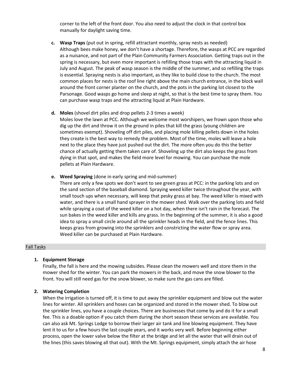corner to the left of the front door. You also need to adjust the clock in that control box manually for daylight saving time.

**c. Wasp Traps** (put out in spring, refill attractant monthly, spray nests as needed) Although bees make honey, we don't have a shortage. Therefore, the wasps at PCC are regarded as a nuisance, and not part of the Plain Community Farmers Association. Getting traps out in the spring is necessary, but even more important is refilling those traps with the attracting liquid in July and August. The peak of wasp season is the middle of the summer, and so refilling the traps is essential. Spraying nests is also important, as they like to build close to the church. The most common places for nests is the roof line right above the main church entrance, in the block wall around the front corner planter on the church, and the pots in the parking lot closest to the Parsonage. Good wasps go home and sleep at night, so that is the best time to spray them. You can purchase wasp traps and the attracting liquid at Plain Hardware.

#### **d. Moles** (shovel dirt piles and drop pellets 2-3 times a week)

Moles love the lawn at PCC. Although we welcome most worshipers, we frown upon those who dig up the dirt and throw it on the ground in piles that kill the grass (young children are sometimes exempt). Shoveling off dirt piles, and placing mole killing pellets down in the holes they create is the best way to remedy the problem. Most of the time, moles will leave a hole next to the place they have just pushed out the dirt. The more often you do this the better chance of actually getting them taken care of. Shoveling up the dirt also keeps the grass from dying in that spot, and makes the field more level for mowing. You can purchase the mole pellets at Plain Hardware.

**e. Weed Spraying** (done in early spring and mid-summer)

There are only a few spots we don't want to see green grass at PCC: in the parking lots and on the sand section of the baseball diamond. Spraying weed killer twice throughout the year, with small touch ups when necessary, will keep that pesky grass at bay. The weed killer is mixed with water, and there is a small hand sprayer in the mower shed. Walk over the parking lots and field while spraying a coat of the weed killer on a hot day, when there isn't rain in the forecast. The sun bakes in the weed killer and kills any grass. In the beginning of the summer, it is also a good idea to spray a small circle around all the sprinkler heads in the field, and the fence lines. This keeps grass from growing into the sprinklers and constricting the water flow or spray area. Weed killer can be purchased at Plain Hardware.

#### Fall Tasks

#### **1. Equipment Storage**

Finally, the fall is here and the mowing subsides. Please clean the mowers well and store them in the mower shed for the winter. You can park the mowers in the back, and move the snow blower to the front. You will still need gas for the snow blower, so make sure the gas cans are filled.

#### **2. Watering Completion**

When the irrigation is turned off, it is time to put away the sprinkler equipment and blow out the water lines for winter. All sprinklers and hoses can be organized and stored in the mower shed. To blow out the sprinkler lines, you have a couple choices. There are businesses that come by and do it for a small fee. This is a doable option if you catch them during the short season these services are available. You can also ask Mt. Springs Lodge to borrow their larger air tank and line blowing equipment. They have lent it to us for a few hours the last couple years, and it works very well. Before beginning either process, open the lower valve below the filter at the bridge and let all the water that will drain out of the lines (this saves blowing all that out). With the Mt. Springs equipment, simply attach the air hose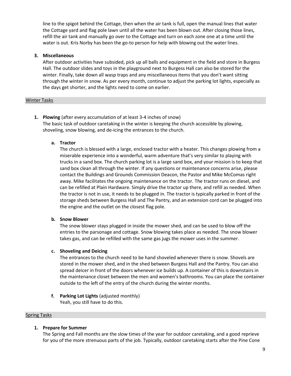line to the spigot behind the Cottage, then when the air tank is full, open the manual lines that water the Cottage yard and flag pole lawn until all the water has been blown out. After closing those lines, refill the air tank and manually go over to the Cottage and turn on each zone one at a time until the water is out. Kris Norby has been the go-to person for help with blowing out the water lines.

## **3. Miscellaneous**

After outdoor activities have subsided, pick up all balls and equipment in the field and store in Burgess Hall. The outdoor slides and toys in the playground next to Burgess Hall can also be stored for the winter. Finally, take down all wasp traps and any miscellaneous items that you don't want sitting through the winter in snow. As per every month, continue to adjust the parking lot lights, especially as the days get shorter, and the lights need to come on earlier.

## Winter Tasks

**1. Plowing** (after every accumulation of at least 3-4 inches of snow) The basic task of outdoor caretaking in the winter is keeping the church accessible by plowing, shoveling, snow blowing, and de-icing the entrances to the church.

## **a. Tractor**

The church is blessed with a large, enclosed tractor with a heater. This changes plowing from a miserable experience into a wonderful, warm adventure that's very similar to playing with trucks in a sand box. The church parking lot is a large sand box, and your mission is to keep that sand box clean all through the winter. If any questions or maintenance concerns arise, please contact the Buildings and Grounds Commission Deacon, the Pastor and Mike McComas right away. Mike facilitates the ongoing maintenance on the tractor. The tractor runs on diesel, and can be refilled at Plain Hardware. Simply drive the tractor up there, and refill as needed. When the tractor is not in use, it needs to be plugged in. The tractor is typically parked in front of the storage sheds between Burgess Hall and The Pantry, and an extension cord can be plugged into the engine and the outlet on the closest flag pole.

## **b. Snow Blower**

The snow blower stays plugged in inside the mower shed, and can be used to blow off the entries to the parsonage and cottage. Snow blowing takes place as needed. The snow blower takes gas, and can be refilled with the same gas jugs the mower uses in the summer.

## **c. Shoveling and Deicing**

The entrances to the church need to be hand shoveled whenever there is snow. Shovels are stored in the mower shed, and in the shed between Burgess Hall and the Pantry. You can also spread deicer in front of the doors whenever ice builds up. A container of this is downstairs in the maintenance closet between the men and women's bathrooms. You can place the container outside to the left of the entry of the church during the winter months.

**f. Parking Lot Lights** (adjusted monthly) Yeah, you still have to do this.

## Spring Tasks

## **1. Prepare for Summer**

The Spring and Fall months are the slow times of the year for outdoor caretaking, and a good reprieve for you of the more strenuous parts of the job. Typically, outdoor caretaking starts after the Pine Cone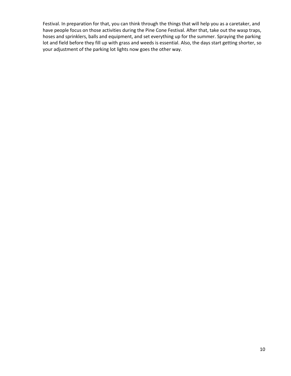Festival. In preparation for that, you can think through the things that will help you as a caretaker, and have people focus on those activities during the Pine Cone Festival. After that, take out the wasp traps, hoses and sprinklers, balls and equipment, and set everything up for the summer. Spraying the parking lot and field before they fill up with grass and weeds is essential. Also, the days start getting shorter, so your adjustment of the parking lot lights now goes the other way.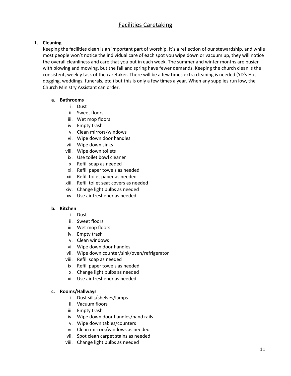## Facilities Caretaking

## **1. Cleaning**

Keeping the facilities clean is an important part of worship. It's a reflection of our stewardship, and while most people won't notice the individual care of each spot you wipe down or vacuum up, they will notice the overall cleanliness and care that you put in each week. The summer and winter months are busier with plowing and mowing, but the fall and spring have fewer demands. Keeping the church clean is the consistent, weekly task of the caretaker. There will be a few times extra cleaning is needed (YD's Hotdogging, weddings, funerals, etc.) but this is only a few times a year. When any supplies run low, the Church Ministry Assistant can order.

## **a. Bathrooms**

- i. Dust
- ii. Sweet floors
- iii. Wet mop floors
- iv. Empty trash
- v. Clean mirrors/windows
- vi. Wipe down door handles
- vii. Wipe down sinks
- viii. Wipe down toilets
- ix. Use toilet bowl cleaner
- x. Refill soap as needed
- xi. Refill paper towels as needed
- xii. Refill toilet paper as needed
- xiii. Refill toilet seat covers as needed
- xiv. Change light bulbs as needed
- xv. Use air freshener as needed

## **b. Kitchen**

- i. Dust
- ii. Sweet floors
- iii. Wet mop floors
- iv. Empty trash
- v. Clean windows
- vi. Wipe down door handles
- vii. Wipe down counter/sink/oven/refrigerator
- viii. Refill soap as needed
- ix. Refill paper towels as needed
- x. Change light bulbs as needed
- xi. Use air freshener as needed

## **c. Rooms/Hallways**

- i. Dust sills/shelves/lamps
- ii. Vacuum floors
- iii. Empty trash
- iv. Wipe down door handles/hand rails
- v. Wipe down tables/counters
- vi. Clean mirrors/windows as needed
- vii. Spot clean carpet stains as needed
- viii. Change light bulbs as needed